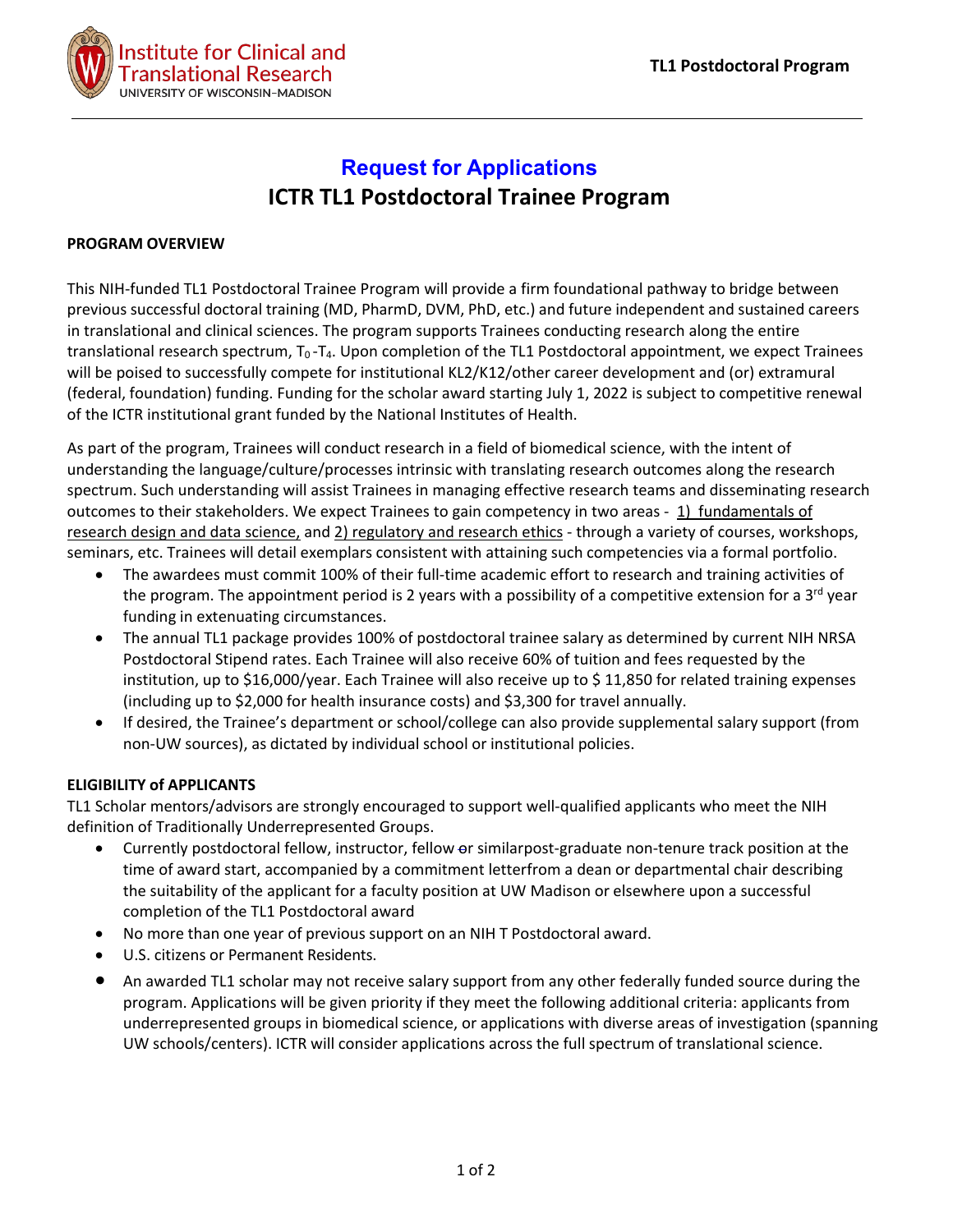

# **Request for Applications ICTR TL1 Postdoctoral Trainee Program**

## **PROGRAM OVERVIEW**

This NIH-funded TL1 Postdoctoral Trainee Program will provide a firm foundational pathway to bridge between previous successful doctoral training (MD, PharmD, DVM, PhD, etc.) and future independent and sustained careers in translational and clinical sciences. The program supports Trainees conducting research along the entire translational research spectrum, T<sub>0</sub> -T<sub>4</sub>. Upon completion of the TL1 Postdoctoral appointment, we expect Trainees will be poised to successfully compete for institutional KL2/K12/other career development and (or) extramural (federal, foundation) funding. Funding for the scholar award starting July 1, 2022 is subject to competitive renewal of the ICTR institutional grant funded by the National Institutes of Health.

As part of the program, Trainees will conduct research in a field of biomedical science, with the intent of understanding the language/culture/processes intrinsic with translating research outcomes along the research spectrum. Such understanding will assist Trainees in managing effective research teams and disseminating research outcomes to their stakeholders. We expect Trainees to gain competency in two areas - 1) fundamentals of research design and data science, and 2) regulatory and research ethics - through a variety of courses, workshops, seminars, etc. Trainees will detail exemplars consistent with attaining such competencies via a formal portfolio.

- The awardees must commit 100% of their full-time academic effort to research and training activities of the program. The appointment period is 2 years with a possibility of a competitive extension for a  $3<sup>rd</sup>$  year funding in extenuating circumstances.
- The annual TL1 package provides 100% of postdoctoral trainee salary as determined by current NIH NRSA Postdoctoral Stipend rates. Each Trainee will also receive 60% of tuition and fees requested by the institution, up to \$16,000/year. Each Trainee will also receive up to \$ 11,850 for related training expenses (including up to \$2,000 for health insurance costs) and \$3,300 for travel annually.
- If desired, the Trainee's department or school/college can also provide supplemental salary support (from non-UW sources), as dictated by individual school or institutional policies.

## **ELIGIBILITY of APPLICANTS**

TL1 Scholar mentors/advisors are strongly encouraged to support well-qualified applicants who meet the NIH definition of Traditionally Underrepresented Groups.

- Currently postdoctoral fellow, instructor, fellow or similarpost-graduate non-tenure track position at the time of award start, accompanied by a commitment letterfrom a dean or departmental chair describing the suitability of the applicant for a faculty position at UW Madison or elsewhere upon a successful completion of the TL1 Postdoctoral award
- No more than one year of previous support on an NIH T Postdoctoral award.
- U.S. citizens or Permanent Residents.
- An awarded TL1 scholar may not receive salary support from any other federally funded source during the program. Applications will be given priority if they meet the following additional criteria: applicants from underrepresented groups in biomedical science, or applications with diverse areas of investigation (spanning UW schools/centers). ICTR will consider applications across the full spectrum of translational science.